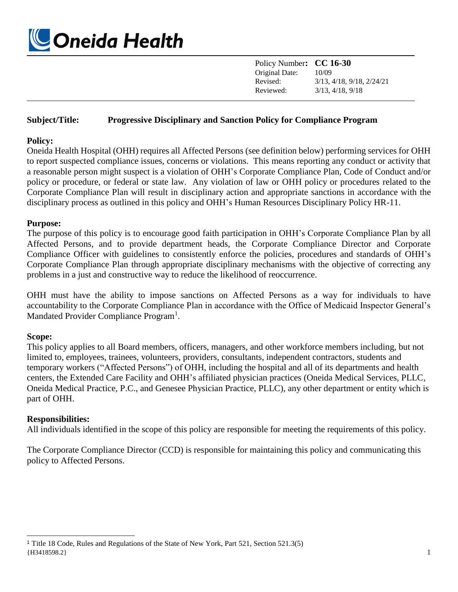

| Policy Number: CC 16-30 |                                      |
|-------------------------|--------------------------------------|
| Original Date:          | 10/09                                |
| Revised:                | $3/13$ , $4/18$ , $9/18$ , $2/24/21$ |
| Reviewed:               | $3/13$ , $4/18$ , $9/18$             |

### **Subject/Title: Progressive Disciplinary and Sanction Policy for Compliance Program**

#### **Policy:**

Oneida Health Hospital (OHH) requires all Affected Persons (see definition below) performing services for OHH to report suspected compliance issues, concerns or violations. This means reporting any conduct or activity that a reasonable person might suspect is a violation of OHH's Corporate Compliance Plan, Code of Conduct and/or policy or procedure, or federal or state law. Any violation of law or OHH policy or procedures related to the Corporate Compliance Plan will result in disciplinary action and appropriate sanctions in accordance with the disciplinary process as outlined in this policy and OHH's Human Resources Disciplinary Policy HR-11.

#### **Purpose:**

The purpose of this policy is to encourage good faith participation in OHH's Corporate Compliance Plan by all Affected Persons, and to provide department heads, the Corporate Compliance Director and Corporate Compliance Officer with guidelines to consistently enforce the policies, procedures and standards of OHH's Corporate Compliance Plan through appropriate disciplinary mechanisms with the objective of correcting any problems in a just and constructive way to reduce the likelihood of reoccurrence.

OHH must have the ability to impose sanctions on Affected Persons as a way for individuals to have accountability to the Corporate Compliance Plan in accordance with the Office of Medicaid Inspector General's Mandated Provider Compliance Program<sup>1</sup>.

### **Scope:**

 $\overline{\phantom{a}}$ 

This policy applies to all Board members, officers, managers, and other workforce members including, but not limited to, employees, trainees, volunteers, providers, consultants, independent contractors, students and temporary workers ("Affected Persons") of OHH, including the hospital and all of its departments and health centers, the Extended Care Facility and OHH's affiliated physician practices (Oneida Medical Services, PLLC, Oneida Medical Practice, P.C., and Genesee Physician Practice, PLLC), any other department or entity which is part of OHH.

### **Responsibilities:**

All individuals identified in the scope of this policy are responsible for meeting the requirements of this policy.

The Corporate Compliance Director (CCD) is responsible for maintaining this policy and communicating this policy to Affected Persons.

<sup>{</sup>H3418598.2} 1 <sup>1</sup> Title 18 Code, Rules and Regulations of the State of New York, Part 521, Section 521.3(5)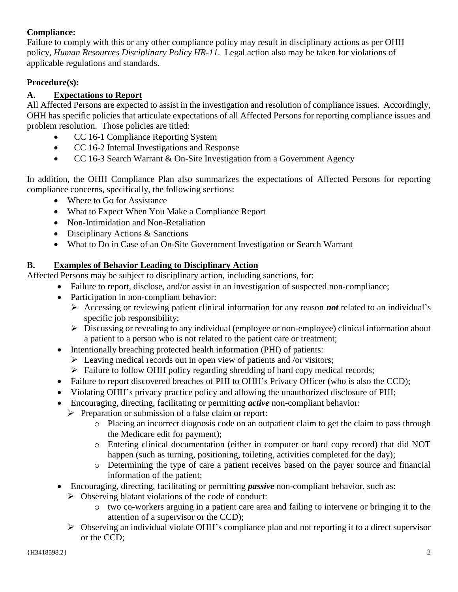## **Compliance:**

Failure to comply with this or any other compliance policy may result in disciplinary actions as per OHH policy, *Human Resources Disciplinary Policy HR-11*. Legal action also may be taken for violations of applicable regulations and standards.

## **Procedure(s):**

# **A. Expectations to Report**

All Affected Persons are expected to assist in the investigation and resolution of compliance issues. Accordingly, OHH has specific policies that articulate expectations of all Affected Persons for reporting compliance issues and problem resolution. Those policies are titled:

- CC 16-1 Compliance Reporting System
- CC 16-2 Internal Investigations and Response
- CC 16-3 Search Warrant & On-Site Investigation from a Government Agency

In addition, the OHH Compliance Plan also summarizes the expectations of Affected Persons for reporting compliance concerns, specifically, the following sections:

- Where to Go for Assistance
- What to Expect When You Make a Compliance Report
- Non-Intimidation and Non-Retaliation
- Disciplinary Actions & Sanctions
- What to Do in Case of an On-Site Government Investigation or Search Warrant

## **B. Examples of Behavior Leading to Disciplinary Action**

Affected Persons may be subject to disciplinary action, including sanctions, for:

- Failure to report, disclose, and/or assist in an investigation of suspected non-compliance;
- Participation in non-compliant behavior:
	- Accessing or reviewing patient clinical information for any reason *not* related to an individual's specific job responsibility;
	- $\triangleright$  Discussing or revealing to any individual (employee or non-employee) clinical information about a patient to a person who is not related to the patient care or treatment;
- Intentionally breaching protected health information (PHI) of patients:
	- $\triangleright$  Leaving medical records out in open view of patients and /or visitors;
	- $\triangleright$  Failure to follow OHH policy regarding shredding of hard copy medical records;
- Failure to report discovered breaches of PHI to OHH's Privacy Officer (who is also the CCD);
- Violating OHH's privacy practice policy and allowing the unauthorized disclosure of PHI;
- Encouraging, directing, facilitating or permitting *active* non-compliant behavior:
- $\triangleright$  Preparation or submission of a false claim or report:
	- o Placing an incorrect diagnosis code on an outpatient claim to get the claim to pass through the Medicare edit for payment);
	- o Entering clinical documentation (either in computer or hard copy record) that did NOT happen (such as turning, positioning, toileting, activities completed for the day);
	- o Determining the type of care a patient receives based on the payer source and financial information of the patient;
- Encouraging, directing, facilitating or permitting *passive* non-compliant behavior, such as:
	- $\triangleright$  Observing blatant violations of the code of conduct:
		- o two co-workers arguing in a patient care area and failing to intervene or bringing it to the attention of a supervisor or the CCD);
	- $\triangleright$  Observing an individual violate OHH's compliance plan and not reporting it to a direct supervisor or the CCD;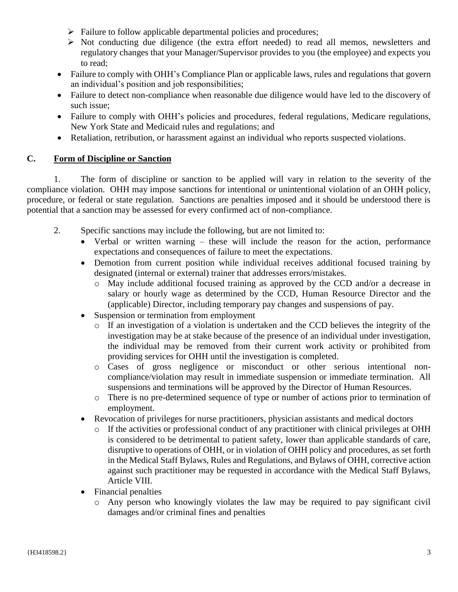- $\triangleright$  Failure to follow applicable departmental policies and procedures;
- $\triangleright$  Not conducting due diligence (the extra effort needed) to read all memos, newsletters and regulatory changes that your Manager/Supervisor provides to you (the employee) and expects you to read;
- Failure to comply with OHH's Compliance Plan or applicable laws, rules and regulations that govern an individual's position and job responsibilities;
- Failure to detect non-compliance when reasonable due diligence would have led to the discovery of such issue;
- Failure to comply with OHH's policies and procedures, federal regulations, Medicare regulations, New York State and Medicaid rules and regulations; and
- Retaliation, retribution, or harassment against an individual who reports suspected violations.

# **C. Form of Discipline or Sanction**

1. The form of discipline or sanction to be applied will vary in relation to the severity of the compliance violation. OHH may impose sanctions for intentional or unintentional violation of an OHH policy, procedure, or federal or state regulation. Sanctions are penalties imposed and it should be understood there is potential that a sanction may be assessed for every confirmed act of non-compliance.

- 2. Specific sanctions may include the following, but are not limited to:
	- Verbal or written warning these will include the reason for the action, performance expectations and consequences of failure to meet the expectations.
	- Demotion from current position while individual receives additional focused training by designated (internal or external) trainer that addresses errors/mistakes.
		- o May include additional focused training as approved by the CCD and/or a decrease in salary or hourly wage as determined by the CCD, Human Resource Director and the (applicable) Director, including temporary pay changes and suspensions of pay.
	- Suspension or termination from employment
		- o If an investigation of a violation is undertaken and the CCD believes the integrity of the investigation may be at stake because of the presence of an individual under investigation, the individual may be removed from their current work activity or prohibited from providing services for OHH until the investigation is completed.
		- o Cases of gross negligence or misconduct or other serious intentional noncompliance/violation may result in immediate suspension or immediate termination. All suspensions and terminations will be approved by the Director of Human Resources.
		- o There is no pre-determined sequence of type or number of actions prior to termination of employment.
	- Revocation of privileges for nurse practitioners, physician assistants and medical doctors
		- $\circ$  If the activities or professional conduct of any practitioner with clinical privileges at OHH is considered to be detrimental to patient safety, lower than applicable standards of care, disruptive to operations of OHH, or in violation of OHH policy and procedures, as set forth in the Medical Staff Bylaws, Rules and Regulations, and Bylaws of OHH, corrective action against such practitioner may be requested in accordance with the Medical Staff Bylaws, Article VIII.
	- Financial penalties
		- o Any person who knowingly violates the law may be required to pay significant civil damages and/or criminal fines and penalties